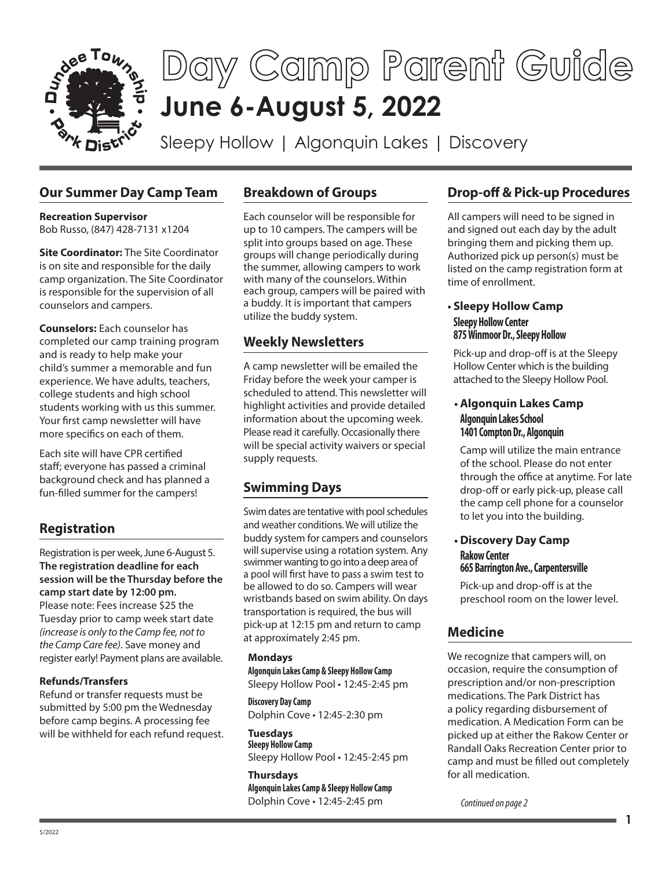

## **Our Summer Day Camp Team**

**Recreation Supervisor**  Bob Russo, (847) 428-7131 x1204

**Site Coordinator:** The Site Coordinator is on site and responsible for the daily camp organization. The Site Coordinator is responsible for the supervision of all counselors and campers.

**Counselors:** Each counselor has completed our camp training program and is ready to help make your child's summer a memorable and fun experience. We have adults, teachers, college students and high school students working with us this summer. Your first camp newsletter will have more specifics on each of them.

Each site will have CPR certified staff; everyone has passed a criminal background check and has planned a fun-filled summer for the campers!

# **Registration**

Registration is per week, June 6-August 5. **The registration deadline for each session will be the Thursday before the camp start date by 12:00 pm.** Please note: Fees increase \$25 the Tuesday prior to camp week start date *(increase is only to the Camp fee, not to the Camp Care fee)*. Save money and register early! Payment plans are available.

## **Refunds/Transfers**

Refund or transfer requests must be submitted by 5:00 pm the Wednesday before camp begins. A processing fee will be withheld for each refund request.

## **Breakdown of Groups**

Each counselor will be responsible for up to 10 campers. The campers will be split into groups based on age. These groups will change periodically during the summer, allowing campers to work with many of the counselors. Within each group, campers will be paired with a buddy. It is important that campers utilize the buddy system.

## **Weekly Newsletters**

A camp newsletter will be emailed the Friday before the week your camper is scheduled to attend. This newsletter will highlight activities and provide detailed information about the upcoming week. Please read it carefully. Occasionally there will be special activity waivers or special supply requests.

# **Swimming Days**

Swim dates are tentative with pool schedules and weather conditions. We will utilize the buddy system for campers and counselors will supervise using a rotation system. Any swimmer wanting to go into a deep area of a pool will first have to pass a swim test to be allowed to do so. Campers will wear wristbands based on swim ability. On days transportation is required, the bus will pick-up at 12:15 pm and return to camp at approximately 2:45 pm.

## **Mondays**

**Algonquin Lakes Camp & Sleepy Hollow Camp** Sleepy Hollow Pool • 12:45-2:45 pm

**Discovery Day Camp** Dolphin Cove • 12:45-2:30 pm

**Tuesdays Sleepy Hollow Camp** Sleepy Hollow Pool • 12:45-2:45 pm

**Thursdays Algonquin Lakes Camp & Sleepy Hollow Camp** Dolphin Cove • 12:45-2:45 pm

# **Drop-off & Pick-up Procedures**

All campers will need to be signed in and signed out each day by the adult bringing them and picking them up. Authorized pick up person(s) must be listed on the camp registration form at time of enrollment.

## **• Sleepy Hollow Camp Sleepy Hollow Center 875 Winmoor Dr., Sleepy Hollow**

Pick-up and drop-off is at the Sleepy Hollow Center which is the building attached to the Sleepy Hollow Pool.

## **• Algonquin Lakes Camp Algonquin Lakes School 1401 Compton Dr., Algonquin**

Camp will utilize the main entrance of the school. Please do not enter through the office at anytime. For late drop-off or early pick-up, please call the camp cell phone for a counselor to let you into the building.

#### **• Discovery Day Camp Rakow Center 665 Barrington Ave., Carpentersville**

Pick-up and drop-off is at the preschool room on the lower level.

## **Medicine**

We recognize that campers will, on occasion, require the consumption of prescription and/or non-prescription medications. The Park District has a policy regarding disbursement of medication. A Medication Form can be picked up at either the Rakow Center or Randall Oaks Recreation Center prior to camp and must be filled out completely for all medication.

**1**

*Continued on page 2*